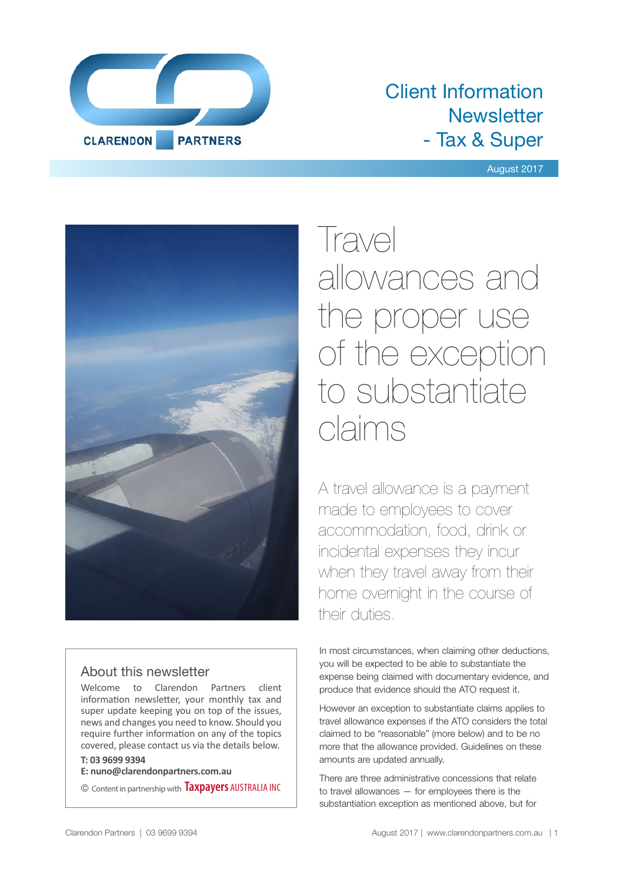

# Client Information **Newsletter** - Tax & Super

August 2017



# About this newsletter

Welcome to Clarendon Partners client information newsletter, your monthly tax and super update keeping you on top of the issues, news and changes you need to know. Should you require further information on any of the topics covered, please contact us via the details below.

## **T: 03 9699 9394**

**E: nuno@clarendonpartners.com.au**

© Content in partnership with **Taxpayers** AUSTRALIA INC

Travel allowances and the proper use of the exception to substantiate claims

A travel allowance is a payment made to employees to cover accommodation, food, drink or incidental expenses they incur when they travel away from their home overnight in the course of their duties.

In most circumstances, when claiming other deductions, you will be expected to be able to substantiate the expense being claimed with documentary evidence, and produce that evidence should the ATO request it.

However an exception to substantiate claims applies to travel allowance expenses if the ATO considers the total claimed to be "reasonable" (more below) and to be no more that the allowance provided. Guidelines on these amounts are updated annually.

There are three administrative concessions that relate to travel allowances — for employees there is the substantiation exception as mentioned above, but for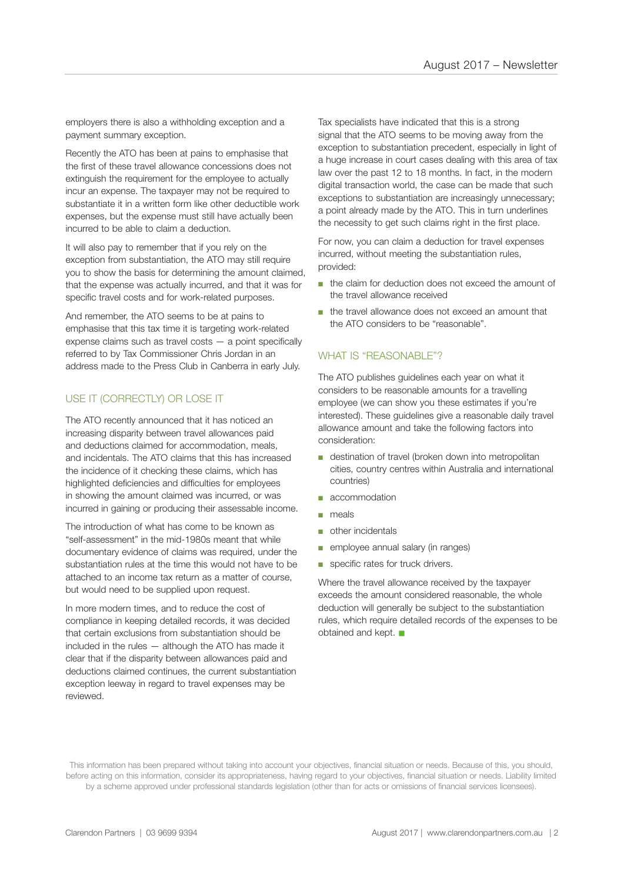employers there is also a withholding exception and a payment summary exception.

Recently the ATO has been at pains to emphasise that the first of these travel allowance concessions does not extinguish the requirement for the employee to actually incur an expense. The taxpayer may not be required to substantiate it in a written form like other deductible work expenses, but the expense must still have actually been incurred to be able to claim a deduction.

It will also pay to remember that if you rely on the exception from substantiation, the ATO may still require you to show the basis for determining the amount claimed, that the expense was actually incurred, and that it was for specific travel costs and for work-related purposes.

And remember, the ATO seems to be at pains to emphasise that this tax time it is targeting work-related expense claims such as travel costs — a point specifically referred to by Tax Commissioner Chris Jordan in an address made to the Press Club in Canberra in early July.

## USE IT (CORRECTLY) OR LOSE IT

The ATO recently announced that it has noticed an increasing disparity between travel allowances paid and deductions claimed for accommodation, meals, and incidentals. The ATO claims that this has increased the incidence of it checking these claims, which has highlighted deficiencies and difficulties for employees in showing the amount claimed was incurred, or was incurred in gaining or producing their assessable income.

The introduction of what has come to be known as "self-assessment" in the mid-1980s meant that while documentary evidence of claims was required, under the substantiation rules at the time this would not have to be attached to an income tax return as a matter of course, but would need to be supplied upon request.

In more modern times, and to reduce the cost of compliance in keeping detailed records, it was decided that certain exclusions from substantiation should be included in the rules — although the ATO has made it clear that if the disparity between allowances paid and deductions claimed continues, the current substantiation exception leeway in regard to travel expenses may be reviewed.

Tax specialists have indicated that this is a strong signal that the ATO seems to be moving away from the exception to substantiation precedent, especially in light of a huge increase in court cases dealing with this area of tax law over the past 12 to 18 months. In fact, in the modern digital transaction world, the case can be made that such exceptions to substantiation are increasingly unnecessary; a point already made by the ATO. This in turn underlines the necessity to get such claims right in the first place.

For now, you can claim a deduction for travel expenses incurred, without meeting the substantiation rules, provided:

- the claim for deduction does not exceed the amount of the travel allowance received
- the travel allowance does not exceed an amount that the ATO considers to be "reasonable".

#### WHAT IS "REASONABLE"?

The ATO publishes guidelines each year on what it considers to be reasonable amounts for a travelling employee (we can show you these estimates if you're interested). These guidelines give a reasonable daily travel allowance amount and take the following factors into consideration:

- destination of travel (broken down into metropolitan cities, country centres within Australia and international countries)
- accommodation
- meals
- other incidentals
- employee annual salary (in ranges)
- specific rates for truck drivers.

Where the travel allowance received by the taxpayer exceeds the amount considered reasonable, the whole deduction will generally be subject to the substantiation rules, which require detailed records of the expenses to be obtained and kept.  $\blacksquare$ 

This information has been prepared without taking into account your objectives, financial situation or needs. Because of this, you should, before acting on this information, consider its appropriateness, having regard to your objectives, financial situation or needs. Liability limited by a scheme approved under professional standards legislation (other than for acts or omissions of financial services licensees).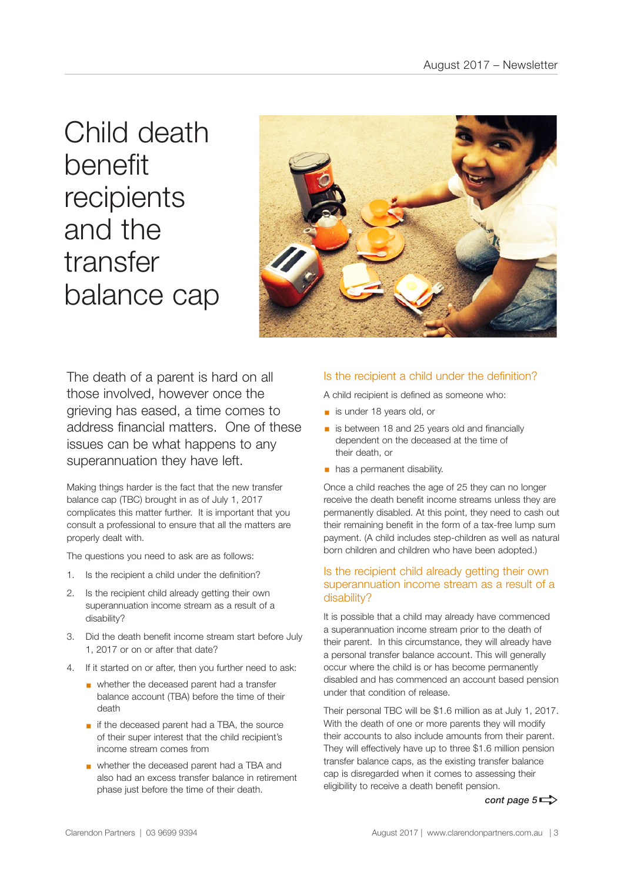Child death benefit recipients and the transfer balance cap



The death of a parent is hard on all those involved, however once the grieving has eased, a time comes to address financial matters. One of these issues can be what happens to any superannuation they have left.

Making things harder is the fact that the new transfer balance cap (TBC) brought in as of July 1, 2017 complicates this matter further. It is important that you consult a professional to ensure that all the matters are properly dealt with.

The questions you need to ask are as follows:

- 1. Is the recipient a child under the definition?
- 2. Is the recipient child already getting their own superannuation income stream as a result of a disability?
- 3. Did the death benefit income stream start before July 1, 2017 or on or after that date?
- 4. If it started on or after, then you further need to ask:
	- whether the deceased parent had a transfer balance account (TBA) before the time of their death
	- if the deceased parent had a TBA, the source of their super interest that the child recipient's income stream comes from
	- § whether the deceased parent had a TBA and also had an excess transfer balance in retirement phase just before the time of their death.

#### Is the recipient a child under the definition?

A child recipient is defined as someone who:

- is under 18 years old, or
- is between 18 and 25 years old and financially dependent on the deceased at the time of their death, or
- **•** has a permanent disability.

Once a child reaches the age of 25 they can no longer receive the death benefit income streams unless they are permanently disabled. At this point, they need to cash out their remaining benefit in the form of a tax-free lump sum payment. (A child includes step-children as well as natural born children and children who have been adopted.)

#### Is the recipient child already getting their own superannuation income stream as a result of a disability?

It is possible that a child may already have commenced a superannuation income stream prior to the death of their parent. In this circumstance, they will already have a personal transfer balance account. This will generally occur where the child is or has become permanently disabled and has commenced an account based pension under that condition of release.

Their personal TBC will be \$1.6 million as at July 1, 2017. With the death of one or more parents they will modify their accounts to also include amounts from their parent. They will effectively have up to three \$1.6 million pension transfer balance caps, as the existing transfer balance cap is disregarded when it comes to assessing their eligibility to receive a death benefit pension.

*cont page*  $5 \Rightarrow$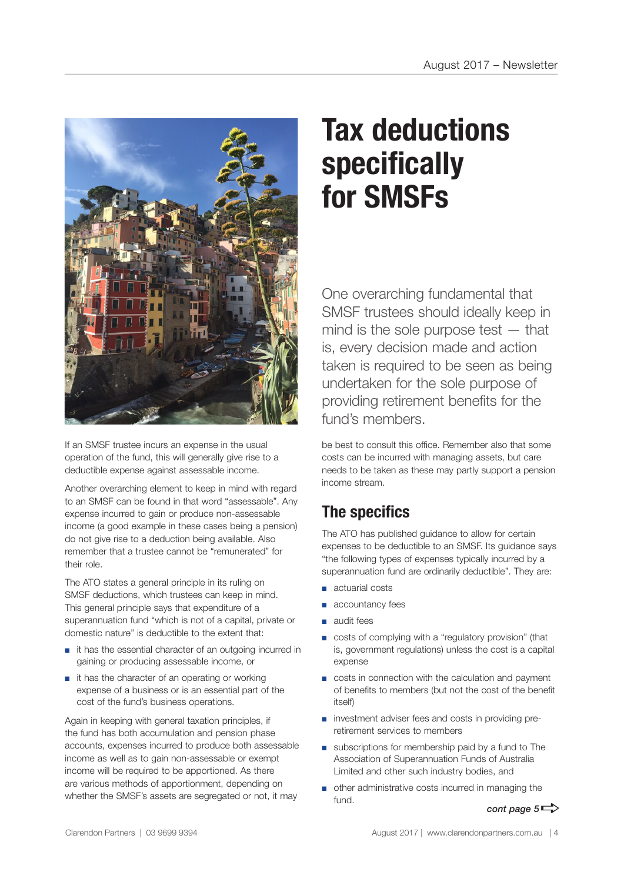

If an SMSF trustee incurs an expense in the usual operation of the fund, this will generally give rise to a deductible expense against assessable income.

Another overarching element to keep in mind with regard to an SMSF can be found in that word "assessable". Any expense incurred to gain or produce non-assessable income (a good example in these cases being a pension) do not give rise to a deduction being available. Also remember that a trustee cannot be "remunerated" for their role.

The ATO states a general principle in its ruling on SMSF deductions, which trustees can keep in mind. This general principle says that expenditure of a superannuation fund "which is not of a capital, private or domestic nature" is deductible to the extent that:

- it has the essential character of an outgoing incurred in gaining or producing assessable income, or
- it has the character of an operating or working expense of a business or is an essential part of the cost of the fund's business operations.

Again in keeping with general taxation principles, if the fund has both accumulation and pension phase accounts, expenses incurred to produce both assessable income as well as to gain non-assessable or exempt income will be required to be apportioned. As there are various methods of apportionment, depending on whether the SMSF's assets are segregated or not, it may

# **Tax deductions specifically for SMSFs**

One overarching fundamental that SMSF trustees should ideally keep in mind is the sole purpose test — that is, every decision made and action taken is required to be seen as being undertaken for the sole purpose of providing retirement benefits for the fund's members.

be best to consult this office. Remember also that some costs can be incurred with managing assets, but care needs to be taken as these may partly support a pension income stream.

# **The specifics**

The ATO has published guidance to allow for certain expenses to be deductible to an SMSF. Its guidance says "the following types of expenses typically incurred by a superannuation fund are ordinarily deductible". They are:

- actuarial costs
- accountancy fees
- audit fees
- costs of complying with a "regulatory provision" (that is, government regulations) unless the cost is a capital expense
- costs in connection with the calculation and payment of benefits to members (but not the cost of the benefit itself)
- investment adviser fees and costs in providing preretirement services to members
- subscriptions for membership paid by a fund to The Association of Superannuation Funds of Australia Limited and other such industry bodies, and
- other administrative costs incurred in managing the fund.

*cont page*  $5 \Rightarrow$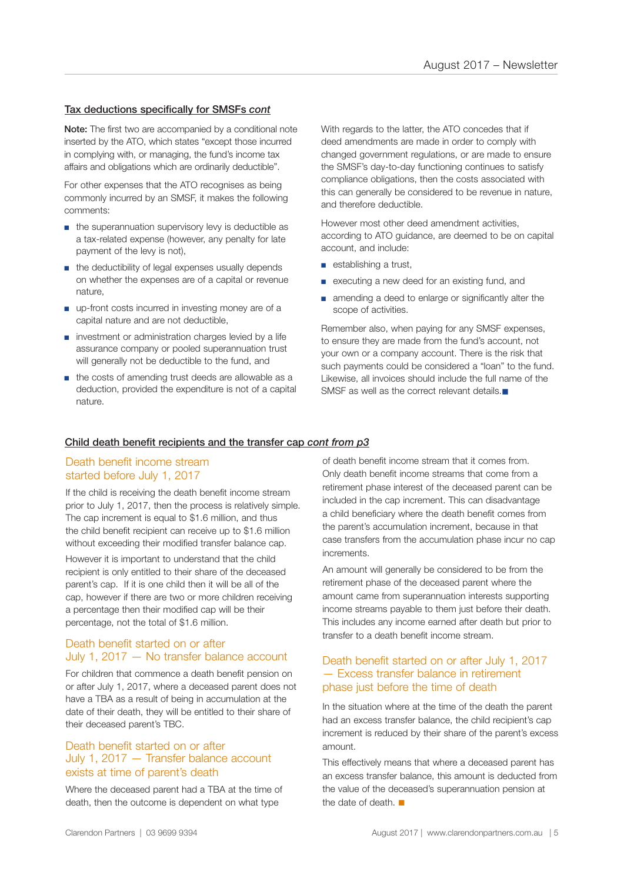#### Tax deductions specifically for SMSFs *cont*

Note: The first two are accompanied by a conditional note inserted by the ATO, which states "except those incurred in complying with, or managing, the fund's income tax affairs and obligations which are ordinarily deductible".

For other expenses that the ATO recognises as being commonly incurred by an SMSF, it makes the following comments:

- the superannuation supervisory levy is deductible as a tax-related expense (however, any penalty for late payment of the levy is not),
- the deductibility of legal expenses usually depends on whether the expenses are of a capital or revenue nature,
- up-front costs incurred in investing money are of a capital nature and are not deductible,
- investment or administration charges levied by a life assurance company or pooled superannuation trust will generally not be deductible to the fund, and
- the costs of amending trust deeds are allowable as a deduction, provided the expenditure is not of a capital nature.

With regards to the latter, the ATO concedes that if deed amendments are made in order to comply with changed government regulations, or are made to ensure the SMSF's day-to-day functioning continues to satisfy compliance obligations, then the costs associated with this can generally be considered to be revenue in nature, and therefore deductible.

However most other deed amendment activities, according to ATO guidance, are deemed to be on capital account, and include:

- establishing a trust,
- executing a new deed for an existing fund, and
- amending a deed to enlarge or significantly alter the scope of activities.

Remember also, when paying for any SMSF expenses, to ensure they are made from the fund's account, not your own or a company account. There is the risk that such payments could be considered a "loan" to the fund. Likewise, all invoices should include the full name of the SMSF as well as the correct relevant details. $\blacksquare$ 

#### Child death benefit recipients and the transfer cap *cont from p3*

## Death benefit income stream started before July 1, 2017

If the child is receiving the death benefit income stream prior to July 1, 2017, then the process is relatively simple. The cap increment is equal to \$1.6 million, and thus the child benefit recipient can receive up to \$1.6 million without exceeding their modified transfer balance cap.

However it is important to understand that the child recipient is only entitled to their share of the deceased parent's cap. If it is one child then it will be all of the cap, however if there are two or more children receiving a percentage then their modified cap will be their percentage, not the total of \$1.6 million.

### Death benefit started on or after July 1, 2017 — No transfer balance account

For children that commence a death benefit pension on or after July 1, 2017, where a deceased parent does not have a TBA as a result of being in accumulation at the date of their death, they will be entitled to their share of their deceased parent's TBC.

#### Death benefit started on or after July 1, 2017 — Transfer balance account exists at time of parent's death

Where the deceased parent had a TBA at the time of death, then the outcome is dependent on what type

of death benefit income stream that it comes from. Only death benefit income streams that come from a retirement phase interest of the deceased parent can be included in the cap increment. This can disadvantage a child beneficiary where the death benefit comes from the parent's accumulation increment, because in that case transfers from the accumulation phase incur no cap increments.

An amount will generally be considered to be from the retirement phase of the deceased parent where the amount came from superannuation interests supporting income streams payable to them just before their death. This includes any income earned after death but prior to transfer to a death benefit income stream.

### Death benefit started on or after July 1, 2017 — Excess transfer balance in retirement phase just before the time of death

In the situation where at the time of the death the parent had an excess transfer balance, the child recipient's cap increment is reduced by their share of the parent's excess amount.

This effectively means that where a deceased parent has an excess transfer balance, this amount is deducted from the value of the deceased's superannuation pension at the date of death.  $\blacksquare$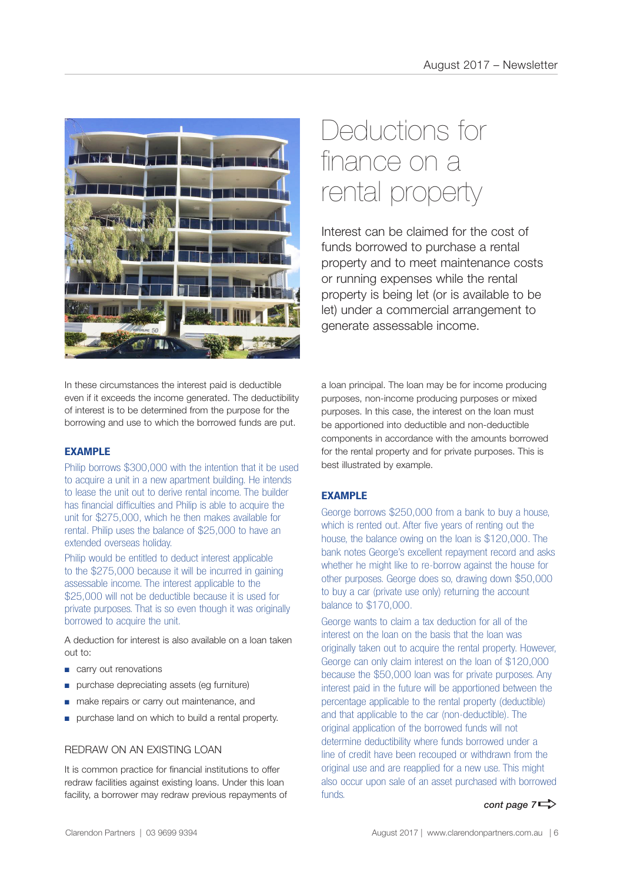

# Deductions for finance on a rental property

Interest can be claimed for the cost of funds borrowed to purchase a rental property and to meet maintenance costs or running expenses while the rental property is being let (or is available to be let) under a commercial arrangement to generate assessable income.

In these circumstances the interest paid is deductible even if it exceeds the income generated. The deductibility of interest is to be determined from the purpose for the borrowing and use to which the borrowed funds are put.

# **EXAMPLE**

Philip borrows \$300,000 with the intention that it be used to acquire a unit in a new apartment building. He intends to lease the unit out to derive rental income. The builder has financial difficulties and Philip is able to acquire the unit for \$275,000, which he then makes available for rental. Philip uses the balance of \$25,000 to have an extended overseas holiday.

Philip would be entitled to deduct interest applicable to the \$275,000 because it will be incurred in gaining assessable income. The interest applicable to the \$25,000 will not be deductible because it is used for private purposes. That is so even though it was originally borrowed to acquire the unit.

A deduction for interest is also available on a loan taken out to:

- carry out renovations
- purchase depreciating assets (eg furniture)
- make repairs or carry out maintenance, and
- purchase land on which to build a rental property.

# REDRAW ON AN EXISTING LOAN

It is common practice for financial institutions to offer redraw facilities against existing loans. Under this loan facility, a borrower may redraw previous repayments of a loan principal. The loan may be for income producing purposes, non-income producing purposes or mixed purposes. In this case, the interest on the loan must be apportioned into deductible and non-deductible components in accordance with the amounts borrowed for the rental property and for private purposes. This is best illustrated by example.

# **EXAMPLE**

George borrows \$250,000 from a bank to buy a house, which is rented out. After five years of renting out the house, the balance owing on the loan is \$120,000. The bank notes George's excellent repayment record and asks whether he might like to re-borrow against the house for other purposes. George does so, drawing down \$50,000 to buy a car (private use only) returning the account balance to \$170,000.

George wants to claim a tax deduction for all of the interest on the loan on the basis that the loan was originally taken out to acquire the rental property. However, George can only claim interest on the loan of \$120,000 because the \$50,000 loan was for private purposes. Any interest paid in the future will be apportioned between the percentage applicable to the rental property (deductible) and that applicable to the car (non-deductible). The original application of the borrowed funds will not determine deductibility where funds borrowed under a line of credit have been recouped or withdrawn from the original use and are reapplied for a new use. This might also occur upon sale of an asset purchased with borrowed funds.

*cont page*  $7 \Rightarrow$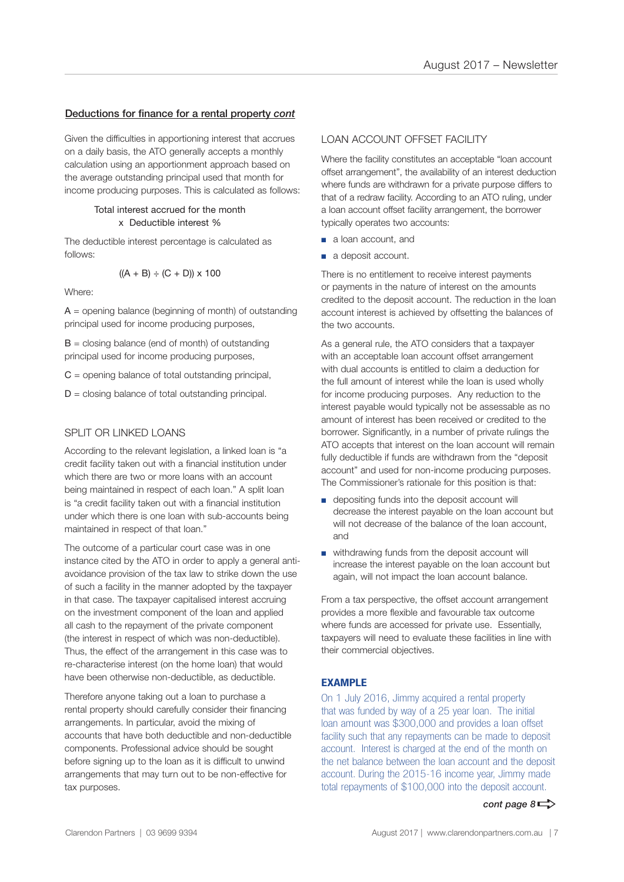#### Deductions for finance for a rental property *cont*

Given the difficulties in apportioning interest that accrues on a daily basis, the ATO generally accepts a monthly calculation using an apportionment approach based on the average outstanding principal used that month for income producing purposes. This is calculated as follows:

#### Total interest accrued for the month x Deductible interest %

The deductible interest percentage is calculated as follows:

$$
((A + B) \div (C + D)) \times 100
$$

Where:

 $A =$  opening balance (beginning of month) of outstanding principal used for income producing purposes,

 $B =$  closing balance (end of month) of outstanding principal used for income producing purposes,

 $C =$  opening balance of total outstanding principal,

 $D =$  closing balance of total outstanding principal.

### SPLIT OR LINKED LOANS

According to the relevant legislation, a linked loan is "a credit facility taken out with a financial institution under which there are two or more loans with an account being maintained in respect of each loan." A split loan is "a credit facility taken out with a financial institution under which there is one loan with sub-accounts being maintained in respect of that loan."

The outcome of a particular court case was in one instance cited by the ATO in order to apply a general antiavoidance provision of the tax law to strike down the use of such a facility in the manner adopted by the taxpayer in that case. The taxpayer capitalised interest accruing on the investment component of the loan and applied all cash to the repayment of the private component (the interest in respect of which was non-deductible). Thus, the effect of the arrangement in this case was to re-characterise interest (on the home loan) that would have been otherwise non-deductible, as deductible.

Therefore anyone taking out a loan to purchase a rental property should carefully consider their financing arrangements. In particular, avoid the mixing of accounts that have both deductible and non-deductible components. Professional advice should be sought before signing up to the loan as it is difficult to unwind arrangements that may turn out to be non-effective for tax purposes.

### LOAN ACCOUNT OFFSET FACILITY

Where the facility constitutes an acceptable "loan account offset arrangement", the availability of an interest deduction where funds are withdrawn for a private purpose differs to that of a redraw facility. According to an ATO ruling, under a loan account offset facility arrangement, the borrower typically operates two accounts:

- a loan account, and
- a deposit account.

There is no entitlement to receive interest payments or payments in the nature of interest on the amounts credited to the deposit account. The reduction in the loan account interest is achieved by offsetting the balances of the two accounts.

As a general rule, the ATO considers that a taxpayer with an acceptable loan account offset arrangement with dual accounts is entitled to claim a deduction for the full amount of interest while the loan is used wholly for income producing purposes. Any reduction to the interest payable would typically not be assessable as no amount of interest has been received or credited to the borrower. Significantly, in a number of private rulings the ATO accepts that interest on the loan account will remain fully deductible if funds are withdrawn from the "deposit account" and used for non-income producing purposes. The Commissioner's rationale for this position is that:

- depositing funds into the deposit account will decrease the interest payable on the loan account but will not decrease of the balance of the loan account. and
- withdrawing funds from the deposit account will increase the interest payable on the loan account but again, will not impact the loan account balance.

From a tax perspective, the offset account arrangement provides a more flexible and favourable tax outcome where funds are accessed for private use. Essentially, taxpayers will need to evaluate these facilities in line with their commercial objectives.

### **EXAMPLE**

On 1 July 2016, Jimmy acquired a rental property that was funded by way of a 25 year loan. The initial loan amount was \$300,000 and provides a loan offset facility such that any repayments can be made to deposit account. Interest is charged at the end of the month on the net balance between the loan account and the deposit account. During the 2015-16 income year, Jimmy made total repayments of \$100,000 into the deposit account.

#### *cont page*  $8 \Rightarrow$